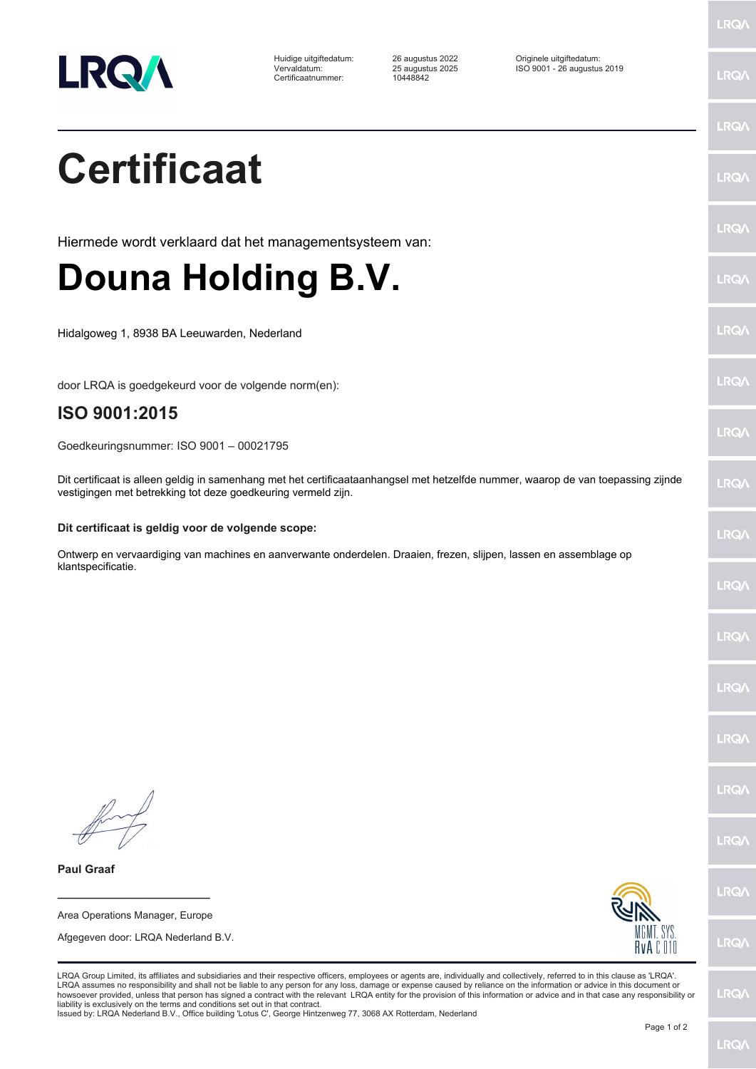

Certificaatnummer: 10448842

Huidige uitgiftedatum: 26 augustus 2022 Originele uitgiftedatum: Vervaldatum: 25 augustus 2025 ISO 9001 - 26 augustus 2019

LRQ/

LRQ/

## LRQ/ **Certificaat** LRQ/ LRQ/ Hiermede wordt verklaard dat het managementsysteem van: **Douna Holding B.V.** LRQ/ LRQ/ Hidalgoweg 1, 8938 BA Leeuwarden, Nederland LRQ/ door LRQA is goedgekeurd voor de volgende norm(en): **ISO 9001:2015 LRQA** Goedkeuringsnummer: ISO 9001 – 00021795 Dit certificaat is alleen geldig in samenhang met het certificaataanhangsel met hetzelfde nummer, waarop de van toepassing zijnde **LRO** vestigingen met betrekking tot deze goedkeuring vermeld zijn. **Dit certificaat is geldig voor de volgende scope:** LRQ/ Ontwerp en vervaardiging van machines en aanverwante onderdelen. Draaien, frezen, slijpen, lassen en assemblage op klantspecificatie.LRQ/ LRQ/ LRQ/ LRQ/ **IRQA** LRQ/ **Paul Graaf** LRQ/ **\_\_\_\_\_\_\_\_\_\_\_\_\_\_\_\_\_\_\_\_\_\_\_\_** Area Operations Manager, Europe Afgegeven door: LRQA Nederland B.V. LRQ/ RvA C 010 LRQA Group Limited, its affiliates and subsidiaries and their respective officers, employees or agents are, individually and collectively, referred to in this clause as 'LRQA'. LRQA assumes no responsibility and shall not be liable to any person for any loss, damage or expense caused by reliance on the information or advice in this document or<br>howsoever provided, unless that person has signed a c LRQ/ liability is exclusively on the terms and conditions set out in that contract. Issued by: LRQA Nederland B.V., Office building 'Lotus C', George Hintzenweg 77, 3068 AX Rotterdam, Nederland Page 1 of 2